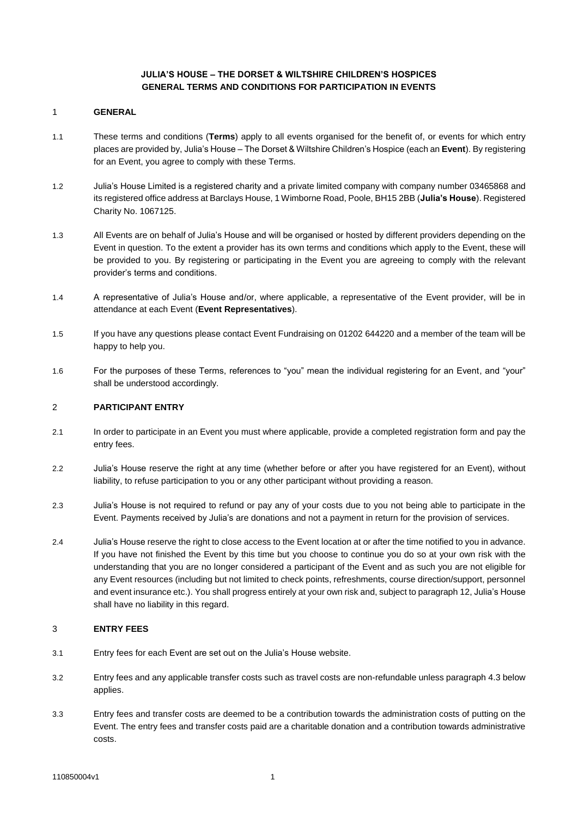# **JULIA'S HOUSE – THE DORSET & WILTSHIRE CHILDREN'S HOSPICES GENERAL TERMS AND CONDITIONS FOR PARTICIPATION IN EVENTS**

#### 1 **GENERAL**

- 1.1 These terms and conditions (**Terms**) apply to all events organised for the benefit of, or events for which entry places are provided by, Julia's House – The Dorset & Wiltshire Children's Hospice (each an **Event**). By registering for an Event, you agree to comply with these Terms.
- 1.2 Julia's House Limited is a registered charity and a private limited company with company number 03465868 and its registered office address at Barclays House, 1 Wimborne Road, Poole, BH15 2BB (**Julia's House**). Registered Charity No. 1067125.
- 1.3 All Events are on behalf of Julia's House and will be organised or hosted by different providers depending on the Event in question. To the extent a provider has its own terms and conditions which apply to the Event, these will be provided to you. By registering or participating in the Event you are agreeing to comply with the relevant provider's terms and conditions.
- 1.4 A representative of Julia's House and/or, where applicable, a representative of the Event provider, will be in attendance at each Event (**Event Representatives**).
- 1.5 If you have any questions please contact Event Fundraising on 01202 644220 and a member of the team will be happy to help you.
- 1.6 For the purposes of these Terms, references to "you" mean the individual registering for an Event, and "your" shall be understood accordingly.

#### 2 **PARTICIPANT ENTRY**

- 2.1 In order to participate in an Event you must where applicable, provide a completed registration form and pay the entry fees.
- 2.2 Julia's House reserve the right at any time (whether before or after you have registered for an Event), without liability, to refuse participation to you or any other participant without providing a reason.
- 2.3 Julia's House is not required to refund or pay any of your costs due to you not being able to participate in the Event. Payments received by Julia's are donations and not a payment in return for the provision of services.
- 2.4 Julia's House reserve the right to close access to the Event location at or after the time notified to you in advance. If you have not finished the Event by this time but you choose to continue you do so at your own risk with the understanding that you are no longer considered a participant of the Event and as such you are not eligible for any Event resources (including but not limited to check points, refreshments, course direction/support, personnel and event insurance etc.). You shall progress entirely at your own risk and, subject to paragraph 12, Julia's House shall have no liability in this regard.

## 3 **ENTRY FEES**

- 3.1 Entry fees for each Event are set out on the Julia's House website.
- 3.2 Entry fees and any applicable transfer costs such as travel costs are non-refundable unless paragraph 4.3 below applies.
- 3.3 Entry fees and transfer costs are deemed to be a contribution towards the administration costs of putting on the Event. The entry fees and transfer costs paid are a charitable donation and a contribution towards administrative costs.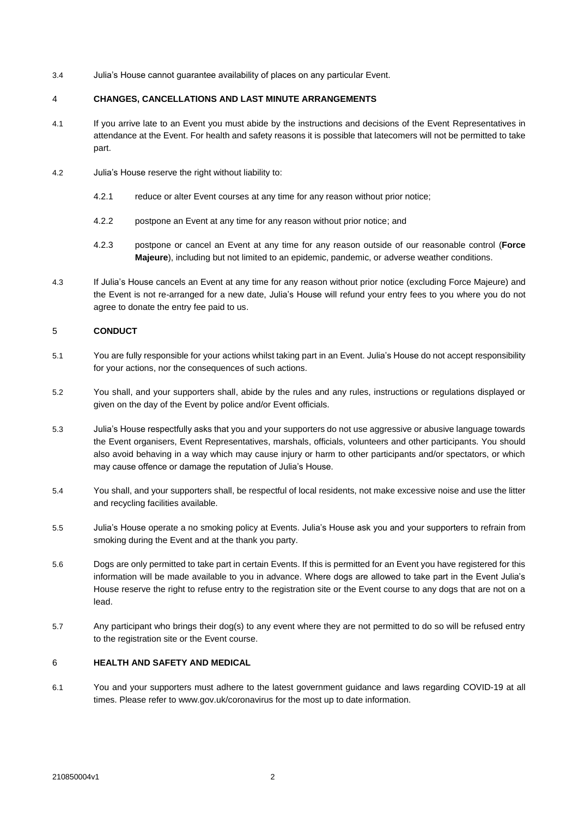3.4 Julia's House cannot guarantee availability of places on any particular Event.

## 4 **CHANGES, CANCELLATIONS AND LAST MINUTE ARRANGEMENTS**

- 4.1 If you arrive late to an Event you must abide by the instructions and decisions of the Event Representatives in attendance at the Event. For health and safety reasons it is possible that latecomers will not be permitted to take part.
- 4.2 Julia's House reserve the right without liability to:
	- 4.2.1 reduce or alter Event courses at any time for any reason without prior notice;
	- 4.2.2 postpone an Event at any time for any reason without prior notice; and
	- 4.2.3 postpone or cancel an Event at any time for any reason outside of our reasonable control (**Force Majeure**), including but not limited to an epidemic, pandemic, or adverse weather conditions.
- 4.3 If Julia's House cancels an Event at any time for any reason without prior notice (excluding Force Majeure) and the Event is not re-arranged for a new date, Julia's House will refund your entry fees to you where you do not agree to donate the entry fee paid to us.

## 5 **CONDUCT**

- 5.1 You are fully responsible for your actions whilst taking part in an Event. Julia's House do not accept responsibility for your actions, nor the consequences of such actions.
- 5.2 You shall, and your supporters shall, abide by the rules and any rules, instructions or regulations displayed or given on the day of the Event by police and/or Event officials.
- 5.3 Julia's House respectfully asks that you and your supporters do not use aggressive or abusive language towards the Event organisers, Event Representatives, marshals, officials, volunteers and other participants. You should also avoid behaving in a way which may cause injury or harm to other participants and/or spectators, or which may cause offence or damage the reputation of Julia's House.
- 5.4 You shall, and your supporters shall, be respectful of local residents, not make excessive noise and use the litter and recycling facilities available.
- 5.5 Julia's House operate a no smoking policy at Events. Julia's House ask you and your supporters to refrain from smoking during the Event and at the thank you party.
- 5.6 Dogs are only permitted to take part in certain Events. If this is permitted for an Event you have registered for this information will be made available to you in advance. Where dogs are allowed to take part in the Event Julia's House reserve the right to refuse entry to the registration site or the Event course to any dogs that are not on a lead.
- 5.7 Any participant who brings their dog(s) to any event where they are not permitted to do so will be refused entry to the registration site or the Event course.

## 6 **HEALTH AND SAFETY AND MEDICAL**

6.1 You and your supporters must adhere to the latest government guidance and laws regarding COVID-19 at all times. Please refer to www.gov.uk/coronavirus for the most up to date information.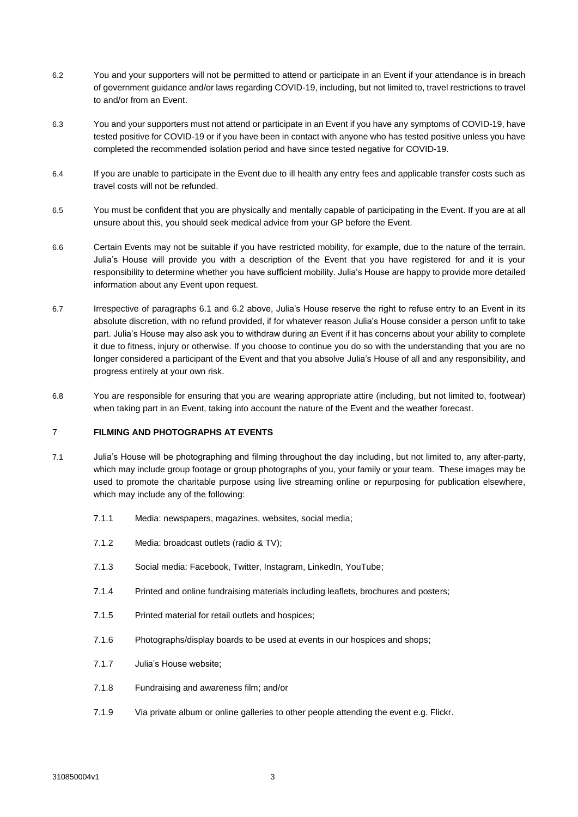- 6.2 You and your supporters will not be permitted to attend or participate in an Event if your attendance is in breach of government guidance and/or laws regarding COVID-19, including, but not limited to, travel restrictions to travel to and/or from an Event.
- 6.3 You and your supporters must not attend or participate in an Event if you have any symptoms of COVID-19, have tested positive for COVID-19 or if you have been in contact with anyone who has tested positive unless you have completed the recommended isolation period and have since tested negative for COVID-19.
- 6.4 If you are unable to participate in the Event due to ill health any entry fees and applicable transfer costs such as travel costs will not be refunded.
- 6.5 You must be confident that you are physically and mentally capable of participating in the Event. If you are at all unsure about this, you should seek medical advice from your GP before the Event.
- 6.6 Certain Events may not be suitable if you have restricted mobility, for example, due to the nature of the terrain. Julia's House will provide you with a description of the Event that you have registered for and it is your responsibility to determine whether you have sufficient mobility. Julia's House are happy to provide more detailed information about any Event upon request.
- 6.7 Irrespective of paragraphs 6.1 and 6.2 above, Julia's House reserve the right to refuse entry to an Event in its absolute discretion, with no refund provided, if for whatever reason Julia's House consider a person unfit to take part. Julia's House may also ask you to withdraw during an Event if it has concerns about your ability to complete it due to fitness, injury or otherwise. If you choose to continue you do so with the understanding that you are no longer considered a participant of the Event and that you absolve Julia's House of all and any responsibility, and progress entirely at your own risk.
- 6.8 You are responsible for ensuring that you are wearing appropriate attire (including, but not limited to, footwear) when taking part in an Event, taking into account the nature of the Event and the weather forecast.

## 7 **FILMING AND PHOTOGRAPHS AT EVENTS**

- 7.1 Julia's House will be photographing and filming throughout the day including, but not limited to, any after-party, which may include group footage or group photographs of you, your family or your team. These images may be used to promote the charitable purpose using live streaming online or repurposing for publication elsewhere, which may include any of the following:
	- 7.1.1 Media: newspapers, magazines, websites, social media;
	- 7.1.2 Media: broadcast outlets (radio & TV);
	- 7.1.3 Social media: Facebook, Twitter, Instagram, LinkedIn, YouTube;
	- 7.1.4 Printed and online fundraising materials including leaflets, brochures and posters;
	- 7.1.5 Printed material for retail outlets and hospices;
	- 7.1.6 Photographs/display boards to be used at events in our hospices and shops;
	- 7.1.7 Julia's House website;
	- 7.1.8 Fundraising and awareness film; and/or
	- 7.1.9 Via private album or online galleries to other people attending the event e.g. Flickr.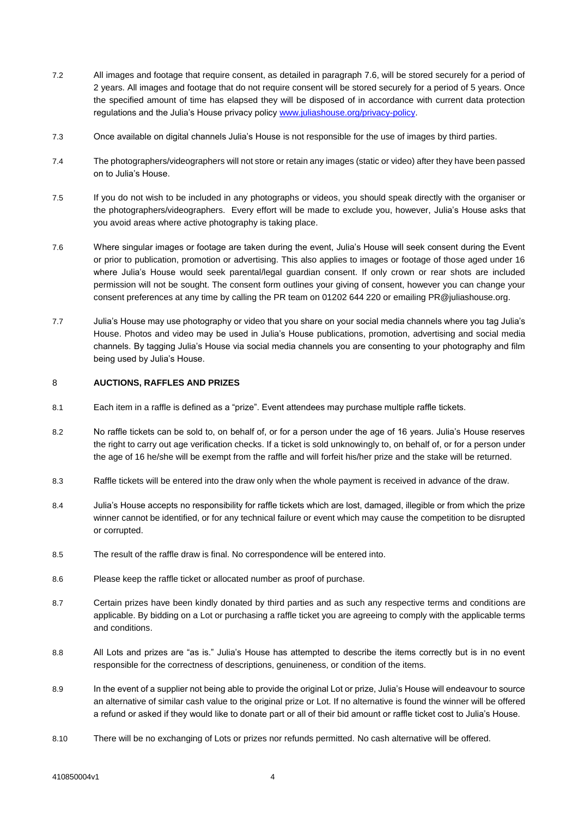- 7.2 All images and footage that require consent, as detailed in paragraph 7.6, will be stored securely for a period of 2 years. All images and footage that do not require consent will be stored securely for a period of 5 years. Once the specified amount of time has elapsed they will be disposed of in accordance with current data protection regulations and the Julia's House privacy policy [www.juliashouse.org/privacy-policy.](http://www.juliashouse.org/privacy-policy)
- 7.3 Once available on digital channels Julia's House is not responsible for the use of images by third parties.
- 7.4 The photographers/videographers will not store or retain any images (static or video) after they have been passed on to Julia's House.
- 7.5 If you do not wish to be included in any photographs or videos, you should speak directly with the organiser or the photographers/videographers. Every effort will be made to exclude you, however, Julia's House asks that you avoid areas where active photography is taking place.
- 7.6 Where singular images or footage are taken during the event, Julia's House will seek consent during the Event or prior to publication, promotion or advertising. This also applies to images or footage of those aged under 16 where Julia's House would seek parental/legal guardian consent. If only crown or rear shots are included permission will not be sought. The consent form outlines your giving of consent, however you can change your consent preferences at any time by calling the PR team on 01202 644 220 or emailing PR@juliashouse.org.
- 7.7 Julia's House may use photography or video that you share on your social media channels where you tag Julia's House. Photos and video may be used in Julia's House publications, promotion, advertising and social media channels. By tagging Julia's House via social media channels you are consenting to your photography and film being used by Julia's House.

#### 8 **AUCTIONS, RAFFLES AND PRIZES**

- 8.1 Each item in a raffle is defined as a "prize". Event attendees may purchase multiple raffle tickets.
- 8.2 No raffle tickets can be sold to, on behalf of, or for a person under the age of 16 years. Julia's House reserves the right to carry out age verification checks. If a ticket is sold unknowingly to, on behalf of, or for a person under the age of 16 he/she will be exempt from the raffle and will forfeit his/her prize and the stake will be returned.
- 8.3 Raffle tickets will be entered into the draw only when the whole payment is received in advance of the draw.
- 8.4 Julia's House accepts no responsibility for raffle tickets which are lost, damaged, illegible or from which the prize winner cannot be identified, or for any technical failure or event which may cause the competition to be disrupted or corrupted.
- 8.5 The result of the raffle draw is final. No correspondence will be entered into.
- 8.6 Please keep the raffle ticket or allocated number as proof of purchase.
- 8.7 Certain prizes have been kindly donated by third parties and as such any respective terms and conditions are applicable. By bidding on a Lot or purchasing a raffle ticket you are agreeing to comply with the applicable terms and conditions.
- 8.8 All Lots and prizes are "as is." Julia's House has attempted to describe the items correctly but is in no event responsible for the correctness of descriptions, genuineness, or condition of the items.
- 8.9 In the event of a supplier not being able to provide the original Lot or prize, Julia's House will endeavour to source an alternative of similar cash value to the original prize or Lot. If no alternative is found the winner will be offered a refund or asked if they would like to donate part or all of their bid amount or raffle ticket cost to Julia's House.
- 8.10 There will be no exchanging of Lots or prizes nor refunds permitted. No cash alternative will be offered.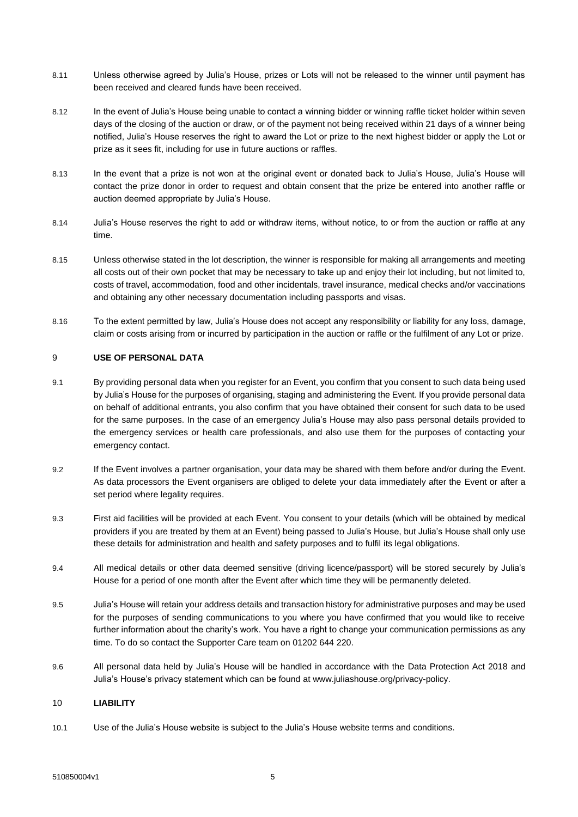- 8.11 Unless otherwise agreed by Julia's House, prizes or Lots will not be released to the winner until payment has been received and cleared funds have been received.
- 8.12 In the event of Julia's House being unable to contact a winning bidder or winning raffle ticket holder within seven days of the closing of the auction or draw, or of the payment not being received within 21 days of a winner being notified, Julia's House reserves the right to award the Lot or prize to the next highest bidder or apply the Lot or prize as it sees fit, including for use in future auctions or raffles.
- 8.13 In the event that a prize is not won at the original event or donated back to Julia's House, Julia's House will contact the prize donor in order to request and obtain consent that the prize be entered into another raffle or auction deemed appropriate by Julia's House.
- 8.14 Julia's House reserves the right to add or withdraw items, without notice, to or from the auction or raffle at any time.
- 8.15 Unless otherwise stated in the lot description, the winner is responsible for making all arrangements and meeting all costs out of their own pocket that may be necessary to take up and enjoy their lot including, but not limited to, costs of travel, accommodation, food and other incidentals, travel insurance, medical checks and/or vaccinations and obtaining any other necessary documentation including passports and visas.
- 8.16 To the extent permitted by law, Julia's House does not accept any responsibility or liability for any loss, damage, claim or costs arising from or incurred by participation in the auction or raffle or the fulfilment of any Lot or prize.

## 9 **USE OF PERSONAL DATA**

- 9.1 By providing personal data when you register for an Event, you confirm that you consent to such data being used by Julia's House for the purposes of organising, staging and administering the Event. If you provide personal data on behalf of additional entrants, you also confirm that you have obtained their consent for such data to be used for the same purposes. In the case of an emergency Julia's House may also pass personal details provided to the emergency services or health care professionals, and also use them for the purposes of contacting your emergency contact.
- 9.2 If the Event involves a partner organisation, your data may be shared with them before and/or during the Event. As data processors the Event organisers are obliged to delete your data immediately after the Event or after a set period where legality requires.
- 9.3 First aid facilities will be provided at each Event. You consent to your details (which will be obtained by medical providers if you are treated by them at an Event) being passed to Julia's House, but Julia's House shall only use these details for administration and health and safety purposes and to fulfil its legal obligations.
- 9.4 All medical details or other data deemed sensitive (driving licence/passport) will be stored securely by Julia's House for a period of one month after the Event after which time they will be permanently deleted.
- 9.5 Julia's House will retain your address details and transaction history for administrative purposes and may be used for the purposes of sending communications to you where you have confirmed that you would like to receive further information about the charity's work. You have a right to change your communication permissions as any time. To do so contact the Supporter Care team on 01202 644 220.
- 9.6 All personal data held by Julia's House will be handled in accordance with the Data Protection Act 2018 and Julia's House's privacy statement which can be found at www.juliashouse.org/privacy-policy.

## 10 **LIABILITY**

10.1 Use of the Julia's House website is subject to the Julia's House website terms and conditions.